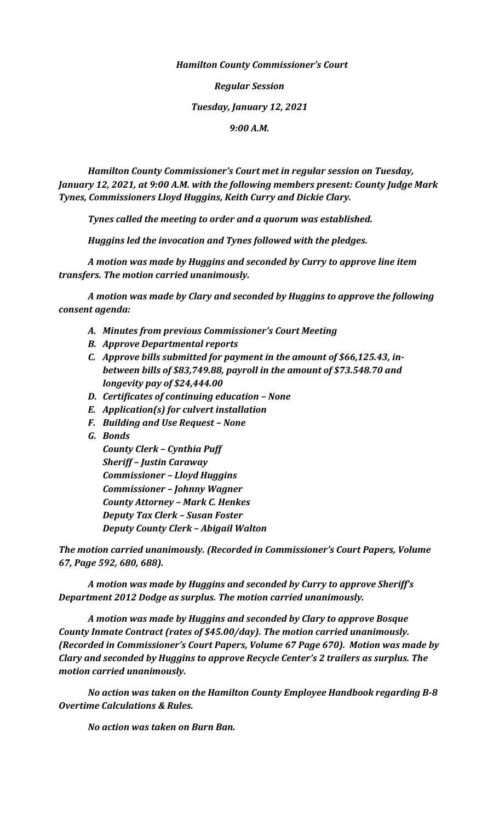## *Hamilton County Commissioner's Court*

*Regular Session Tuesday, January 12, 2021 9:00 A.M.*

*Hamilton County Commissioner's Court met in regular session on Tuesday, January 12, 2021, at 9:00 A.M. with the following members present: County Judge Mark Tynes, Commissioners Lloyd Huggins, Keith Curry and Dickie Clary.*

*Tynes called the meeting to order and a quorum was established.*

*Huggins led the invocation and Tynes followed with the pledges.*

*A motion was made by Huggins and seconded by Curry to approve line item transfers. The motion carried unanimously.*

*A motion was made by Clary and seconded by Huggins to approve the following consent agenda:*

- *A. Minutes from previous Commissioner's Court Meeting*
- *B. Approve Departmental reports*
- *C. Approve bills submitted for payment in the amount of \$66,125.43, inbetween bills of \$83,749.88, payroll in the amount of \$73.548.70 and longevity pay of \$24,444.00*
- *D. Certificates of continuing education – None*
- *E. Application(s) for culvert installation*
- *F. Building and Use Request – None*
- *G. Bonds*

*County Clerk – Cynthia Puff Sheriff – Justin Caraway Commissioner – Lloyd Huggins Commissioner – Johnny Wagner County Attorney – Mark C. Henkes Deputy Tax Clerk – Susan Foster Deputy County Clerk – Abigail Walton*

*The motion carried unanimously. (Recorded in Commissioner's Court Papers, Volume 67, Page 592, 680, 688).*

*A motion was made by Huggins and seconded by Curry to approve Sheriff's Department 2012 Dodge as surplus. The motion carried unanimously.*

*A motion was made by Huggins and seconded by Clary to approve Bosque County Inmate Contract (rates of \$45.00/day). The motion carried unanimously. (Recorded in Commissioner's Court Papers, Volume 67 Page 670). Motion was made by Clary and seconded by Huggins to approve Recycle Center's 2 trailers as surplus. The motion carried unanimously.*

*No action was taken on the Hamilton County Employee Handbook regarding B-8 Overtime Calculations & Rules.*

*No action was taken on Burn Ban.*